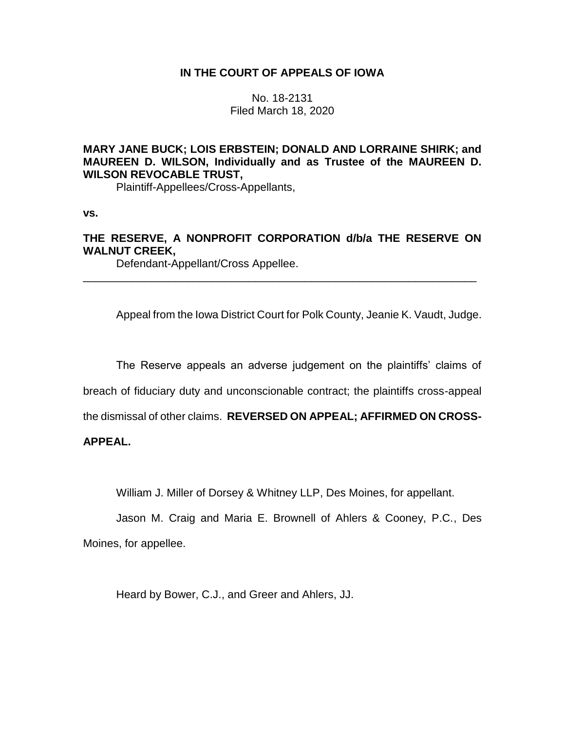## **IN THE COURT OF APPEALS OF IOWA**

No. 18-2131 Filed March 18, 2020

## **MARY JANE BUCK; LOIS ERBSTEIN; DONALD AND LORRAINE SHIRK; and MAUREEN D. WILSON, Individually and as Trustee of the MAUREEN D. WILSON REVOCABLE TRUST,**

Plaintiff-Appellees/Cross-Appellants,

**vs.**

# **THE RESERVE, A NONPROFIT CORPORATION d/b/a THE RESERVE ON WALNUT CREEK,**

\_\_\_\_\_\_\_\_\_\_\_\_\_\_\_\_\_\_\_\_\_\_\_\_\_\_\_\_\_\_\_\_\_\_\_\_\_\_\_\_\_\_\_\_\_\_\_\_\_\_\_\_\_\_\_\_\_\_\_\_\_\_\_\_

Defendant-Appellant/Cross Appellee.

Appeal from the Iowa District Court for Polk County, Jeanie K. Vaudt, Judge.

The Reserve appeals an adverse judgement on the plaintiffs' claims of

breach of fiduciary duty and unconscionable contract; the plaintiffs cross-appeal

the dismissal of other claims. **REVERSED ON APPEAL; AFFIRMED ON CROSS-**

## **APPEAL.**

William J. Miller of Dorsey & Whitney LLP, Des Moines, for appellant.

Jason M. Craig and Maria E. Brownell of Ahlers & Cooney, P.C., Des Moines, for appellee.

Heard by Bower, C.J., and Greer and Ahlers, JJ.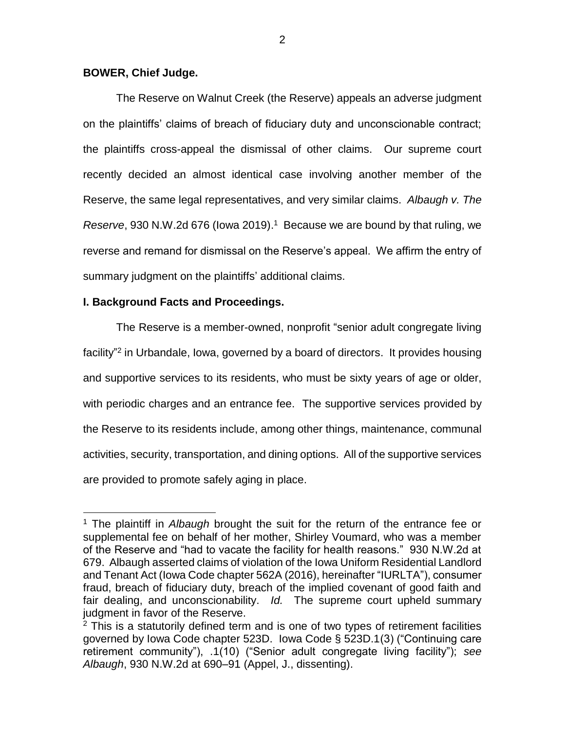### **BOWER, Chief Judge.**

The Reserve on Walnut Creek (the Reserve) appeals an adverse judgment on the plaintiffs' claims of breach of fiduciary duty and unconscionable contract; the plaintiffs cross-appeal the dismissal of other claims. Our supreme court recently decided an almost identical case involving another member of the Reserve, the same legal representatives, and very similar claims. *Albaugh v. The Reserve*, 930 N.W.2d 676 (Iowa 2019). 1 Because we are bound by that ruling, we reverse and remand for dismissal on the Reserve's appeal. We affirm the entry of summary judgment on the plaintiffs' additional claims.

## **I. Background Facts and Proceedings.**

 $\overline{a}$ 

The Reserve is a member-owned, nonprofit "senior adult congregate living facility"<sup>2</sup> in Urbandale, Iowa, governed by a board of directors. It provides housing and supportive services to its residents, who must be sixty years of age or older, with periodic charges and an entrance fee. The supportive services provided by the Reserve to its residents include, among other things, maintenance, communal activities, security, transportation, and dining options. All of the supportive services are provided to promote safely aging in place.

<sup>1</sup> The plaintiff in *Albaugh* brought the suit for the return of the entrance fee or supplemental fee on behalf of her mother, Shirley Voumard, who was a member of the Reserve and "had to vacate the facility for health reasons." 930 N.W.2d at 679. Albaugh asserted claims of violation of the Iowa Uniform Residential Landlord and Tenant Act (Iowa Code chapter 562A (2016), hereinafter "IURLTA"), consumer fraud, breach of fiduciary duty, breach of the implied covenant of good faith and fair dealing, and unconscionability. *Id.* The supreme court upheld summary judgment in favor of the Reserve.

 $2$  This is a statutorily defined term and is one of two types of retirement facilities governed by Iowa Code chapter 523D. Iowa Code § 523D.1(3) ("Continuing care retirement community"), .1(10) ("Senior adult congregate living facility"); *see Albaugh*, 930 N.W.2d at 690–91 (Appel, J., dissenting).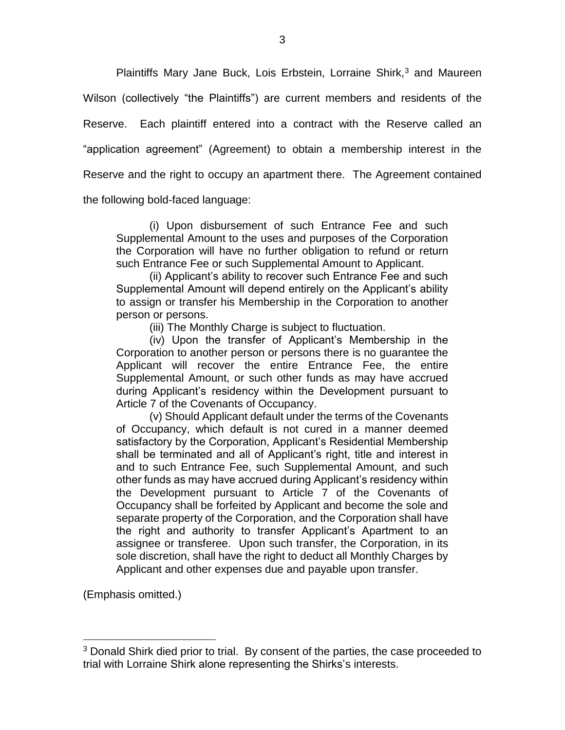Plaintiffs Mary Jane Buck, Lois Erbstein, Lorraine Shirk,<sup>3</sup> and Maureen Wilson (collectively "the Plaintiffs") are current members and residents of the Reserve. Each plaintiff entered into a contract with the Reserve called an "application agreement" (Agreement) to obtain a membership interest in the Reserve and the right to occupy an apartment there. The Agreement contained the following bold-faced language:

(i) Upon disbursement of such Entrance Fee and such Supplemental Amount to the uses and purposes of the Corporation the Corporation will have no further obligation to refund or return

such Entrance Fee or such Supplemental Amount to Applicant. (ii) Applicant's ability to recover such Entrance Fee and such Supplemental Amount will depend entirely on the Applicant's ability

to assign or transfer his Membership in the Corporation to another person or persons.

(iii) The Monthly Charge is subject to fluctuation.

(iv) Upon the transfer of Applicant's Membership in the Corporation to another person or persons there is no guarantee the Applicant will recover the entire Entrance Fee, the entire Supplemental Amount, or such other funds as may have accrued during Applicant's residency within the Development pursuant to Article 7 of the Covenants of Occupancy.

(v) Should Applicant default under the terms of the Covenants of Occupancy, which default is not cured in a manner deemed satisfactory by the Corporation, Applicant's Residential Membership shall be terminated and all of Applicant's right, title and interest in and to such Entrance Fee, such Supplemental Amount, and such other funds as may have accrued during Applicant's residency within the Development pursuant to Article 7 of the Covenants of Occupancy shall be forfeited by Applicant and become the sole and separate property of the Corporation, and the Corporation shall have the right and authority to transfer Applicant's Apartment to an assignee or transferee. Upon such transfer, the Corporation, in its sole discretion, shall have the right to deduct all Monthly Charges by Applicant and other expenses due and payable upon transfer.

(Emphasis omitted.)

<sup>&</sup>lt;sup>3</sup> Donald Shirk died prior to trial. By consent of the parties, the case proceeded to trial with Lorraine Shirk alone representing the Shirks's interests.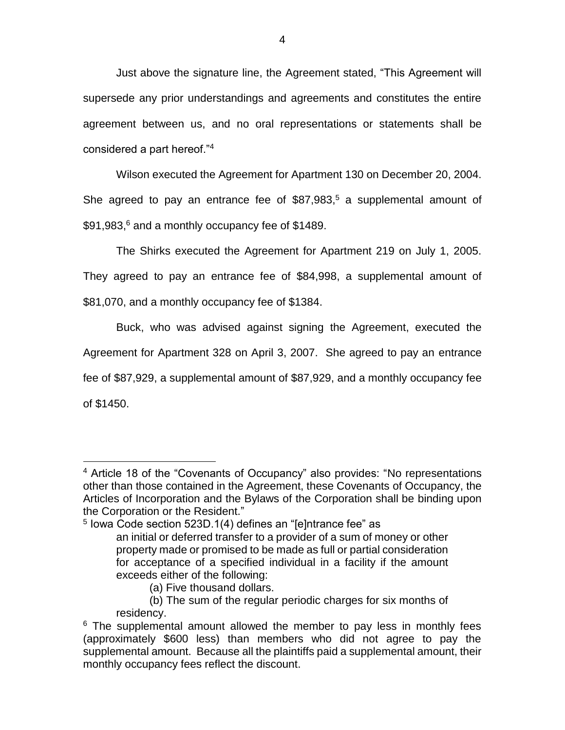Just above the signature line, the Agreement stated, "This Agreement will supersede any prior understandings and agreements and constitutes the entire agreement between us, and no oral representations or statements shall be considered a part hereof."<sup>4</sup>

Wilson executed the Agreement for Apartment 130 on December 20, 2004. She agreed to pay an entrance fee of \$87,983, <sup>5</sup> a supplemental amount of \$91,983, <sup>6</sup> and a monthly occupancy fee of \$1489.

The Shirks executed the Agreement for Apartment 219 on July 1, 2005. They agreed to pay an entrance fee of \$84,998, a supplemental amount of \$81,070, and a monthly occupancy fee of \$1384.

Buck, who was advised against signing the Agreement, executed the Agreement for Apartment 328 on April 3, 2007. She agreed to pay an entrance fee of \$87,929, a supplemental amount of \$87,929, and a monthly occupancy fee of \$1450.

(a) Five thousand dollars.

<sup>4</sup> Article 18 of the "Covenants of Occupancy" also provides: "No representations other than those contained in the Agreement, these Covenants of Occupancy, the Articles of Incorporation and the Bylaws of the Corporation shall be binding upon the Corporation or the Resident."

<sup>5</sup> Iowa Code section 523D.1(4) defines an "[e]ntrance fee" as an initial or deferred transfer to a provider of a sum of money or other property made or promised to be made as full or partial consideration for acceptance of a specified individual in a facility if the amount exceeds either of the following:

<sup>(</sup>b) The sum of the regular periodic charges for six months of residency.

 $6$  The supplemental amount allowed the member to pay less in monthly fees (approximately \$600 less) than members who did not agree to pay the supplemental amount. Because all the plaintiffs paid a supplemental amount, their monthly occupancy fees reflect the discount.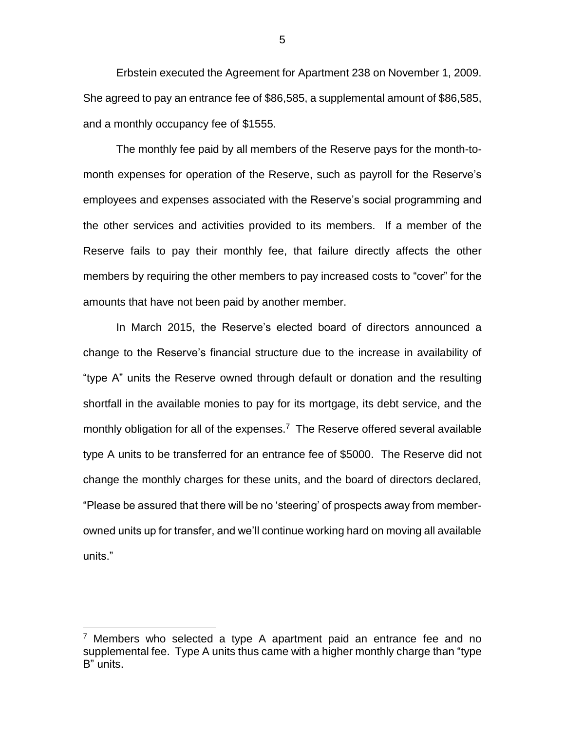Erbstein executed the Agreement for Apartment 238 on November 1, 2009. She agreed to pay an entrance fee of \$86,585, a supplemental amount of \$86,585, and a monthly occupancy fee of \$1555.

The monthly fee paid by all members of the Reserve pays for the month-tomonth expenses for operation of the Reserve, such as payroll for the Reserve's employees and expenses associated with the Reserve's social programming and the other services and activities provided to its members. If a member of the Reserve fails to pay their monthly fee, that failure directly affects the other members by requiring the other members to pay increased costs to "cover" for the amounts that have not been paid by another member.

In March 2015, the Reserve's elected board of directors announced a change to the Reserve's financial structure due to the increase in availability of "type A" units the Reserve owned through default or donation and the resulting shortfall in the available monies to pay for its mortgage, its debt service, and the monthly obligation for all of the expenses.<sup>7</sup> The Reserve offered several available type A units to be transferred for an entrance fee of \$5000. The Reserve did not change the monthly charges for these units, and the board of directors declared, "Please be assured that there will be no 'steering' of prospects away from memberowned units up for transfer, and we'll continue working hard on moving all available units."

 $\overline{a}$ 

5

 $7$  Members who selected a type A apartment paid an entrance fee and no supplemental fee. Type A units thus came with a higher monthly charge than "type B" units.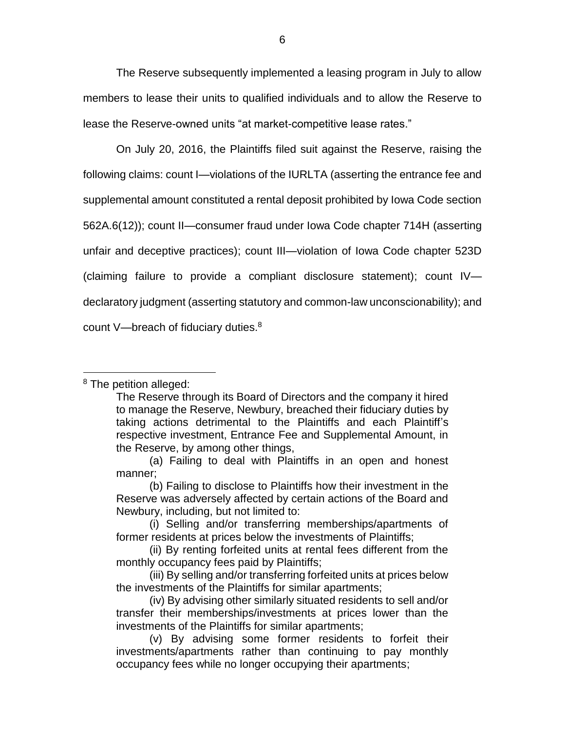The Reserve subsequently implemented a leasing program in July to allow members to lease their units to qualified individuals and to allow the Reserve to lease the Reserve-owned units "at market-competitive lease rates."

On July 20, 2016, the Plaintiffs filed suit against the Reserve, raising the following claims: count I—violations of the IURLTA (asserting the entrance fee and supplemental amount constituted a rental deposit prohibited by Iowa Code section 562A.6(12)); count II—consumer fraud under Iowa Code chapter 714H (asserting unfair and deceptive practices); count III—violation of Iowa Code chapter 523D (claiming failure to provide a compliant disclosure statement); count IV declaratory judgment (asserting statutory and common-law unconscionability); and count V—breach of fiduciary duties.<sup>8</sup>

<sup>8</sup> The petition alleged:

The Reserve through its Board of Directors and the company it hired to manage the Reserve, Newbury, breached their fiduciary duties by taking actions detrimental to the Plaintiffs and each Plaintiff's respective investment, Entrance Fee and Supplemental Amount, in the Reserve, by among other things,

<sup>(</sup>a) Failing to deal with Plaintiffs in an open and honest manner;

<sup>(</sup>b) Failing to disclose to Plaintiffs how their investment in the Reserve was adversely affected by certain actions of the Board and Newbury, including, but not limited to:

<sup>(</sup>i) Selling and/or transferring memberships/apartments of former residents at prices below the investments of Plaintiffs;

<sup>(</sup>ii) By renting forfeited units at rental fees different from the monthly occupancy fees paid by Plaintiffs;

<sup>(</sup>iii) By selling and/or transferring forfeited units at prices below the investments of the Plaintiffs for similar apartments;

<sup>(</sup>iv) By advising other similarly situated residents to sell and/or transfer their memberships/investments at prices lower than the investments of the Plaintiffs for similar apartments;

<sup>(</sup>v) By advising some former residents to forfeit their investments/apartments rather than continuing to pay monthly occupancy fees while no longer occupying their apartments;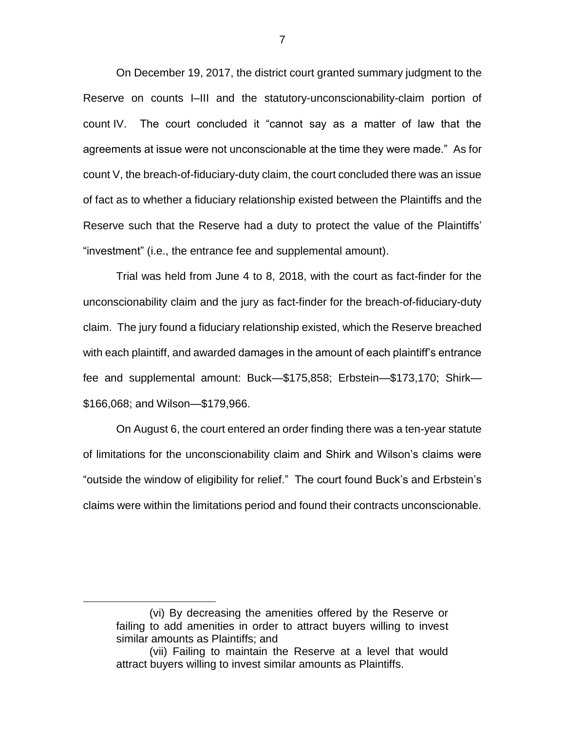On December 19, 2017, the district court granted summary judgment to the Reserve on counts I–III and the statutory-unconscionability-claim portion of count IV. The court concluded it "cannot say as a matter of law that the agreements at issue were not unconscionable at the time they were made." As for count V, the breach-of-fiduciary-duty claim, the court concluded there was an issue of fact as to whether a fiduciary relationship existed between the Plaintiffs and the Reserve such that the Reserve had a duty to protect the value of the Plaintiffs' "investment" (i.e., the entrance fee and supplemental amount).

Trial was held from June 4 to 8, 2018, with the court as fact-finder for the unconscionability claim and the jury as fact-finder for the breach-of-fiduciary-duty claim. The jury found a fiduciary relationship existed, which the Reserve breached with each plaintiff, and awarded damages in the amount of each plaintiff's entrance fee and supplemental amount: Buck—\$175,858; Erbstein—\$173,170; Shirk— \$166,068; and Wilson—\$179,966.

On August 6, the court entered an order finding there was a ten-year statute of limitations for the unconscionability claim and Shirk and Wilson's claims were "outside the window of eligibility for relief." The court found Buck's and Erbstein's claims were within the limitations period and found their contracts unconscionable.

<sup>(</sup>vi) By decreasing the amenities offered by the Reserve or failing to add amenities in order to attract buyers willing to invest similar amounts as Plaintiffs; and

<sup>(</sup>vii) Failing to maintain the Reserve at a level that would attract buyers willing to invest similar amounts as Plaintiffs.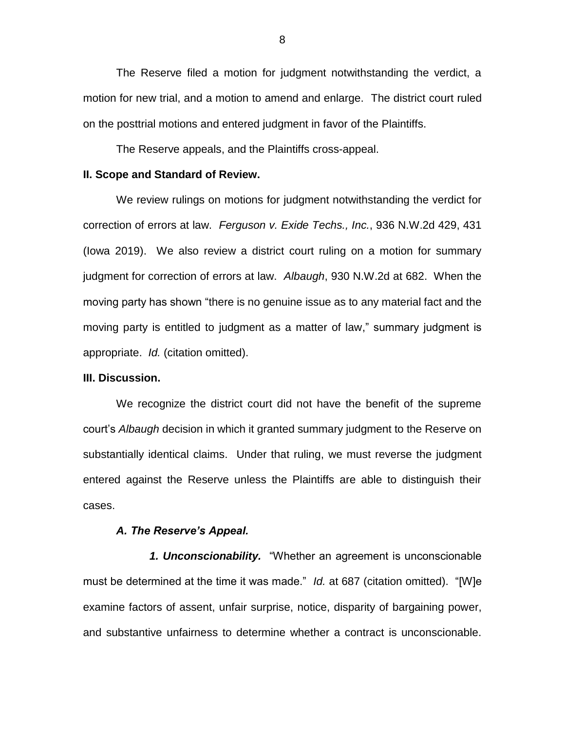The Reserve filed a motion for judgment notwithstanding the verdict, a motion for new trial, and a motion to amend and enlarge. The district court ruled on the posttrial motions and entered judgment in favor of the Plaintiffs.

The Reserve appeals, and the Plaintiffs cross-appeal.

#### **II. Scope and Standard of Review.**

We review rulings on motions for judgment notwithstanding the verdict for correction of errors at law. *Ferguson v. Exide Techs., Inc.*, 936 N.W.2d 429, 431 (Iowa 2019). We also review a district court ruling on a motion for summary judgment for correction of errors at law. *Albaugh*, 930 N.W.2d at 682. When the moving party has shown "there is no genuine issue as to any material fact and the moving party is entitled to judgment as a matter of law," summary judgment is appropriate. *Id.* (citation omitted).

#### **III. Discussion.**

We recognize the district court did not have the benefit of the supreme court's *Albaugh* decision in which it granted summary judgment to the Reserve on substantially identical claims. Under that ruling, we must reverse the judgment entered against the Reserve unless the Plaintiffs are able to distinguish their cases.

#### *A. The Reserve's Appeal.*

*1. Unconscionability.* "Whether an agreement is unconscionable must be determined at the time it was made." *Id.* at 687 (citation omitted). "[W]e examine factors of assent, unfair surprise, notice, disparity of bargaining power, and substantive unfairness to determine whether a contract is unconscionable.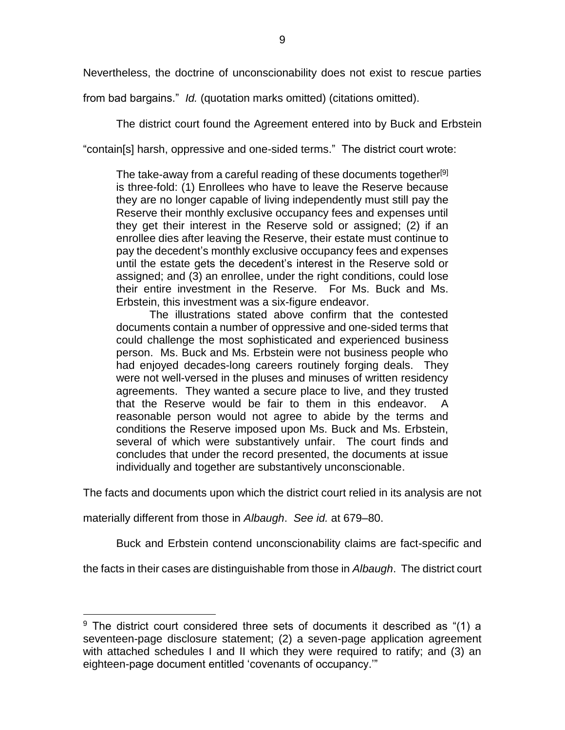Nevertheless, the doctrine of unconscionability does not exist to rescue parties

from bad bargains." *Id.* (quotation marks omitted) (citations omitted).

The district court found the Agreement entered into by Buck and Erbstein

"contain[s] harsh, oppressive and one-sided terms." The district court wrote:

The take-away from a careful reading of these documents together<sup>[9]</sup> is three-fold: (1) Enrollees who have to leave the Reserve because they are no longer capable of living independently must still pay the Reserve their monthly exclusive occupancy fees and expenses until they get their interest in the Reserve sold or assigned; (2) if an enrollee dies after leaving the Reserve, their estate must continue to pay the decedent's monthly exclusive occupancy fees and expenses until the estate gets the decedent's interest in the Reserve sold or assigned; and (3) an enrollee, under the right conditions, could lose their entire investment in the Reserve. For Ms. Buck and Ms. Erbstein, this investment was a six-figure endeavor.

The illustrations stated above confirm that the contested documents contain a number of oppressive and one-sided terms that could challenge the most sophisticated and experienced business person. Ms. Buck and Ms. Erbstein were not business people who had enjoyed decades-long careers routinely forging deals. They were not well-versed in the pluses and minuses of written residency agreements. They wanted a secure place to live, and they trusted that the Reserve would be fair to them in this endeavor. A reasonable person would not agree to abide by the terms and conditions the Reserve imposed upon Ms. Buck and Ms. Erbstein, several of which were substantively unfair. The court finds and concludes that under the record presented, the documents at issue individually and together are substantively unconscionable.

The facts and documents upon which the district court relied in its analysis are not

materially different from those in *Albaugh*. *See id.* at 679–80.

 $\overline{a}$ 

Buck and Erbstein contend unconscionability claims are fact-specific and

the facts in their cases are distinguishable from those in *Albaugh*. The district court

 $9$  The district court considered three sets of documents it described as "(1) a seventeen-page disclosure statement; (2) a seven-page application agreement with attached schedules I and II which they were required to ratify; and (3) an eighteen-page document entitled 'covenants of occupancy.'"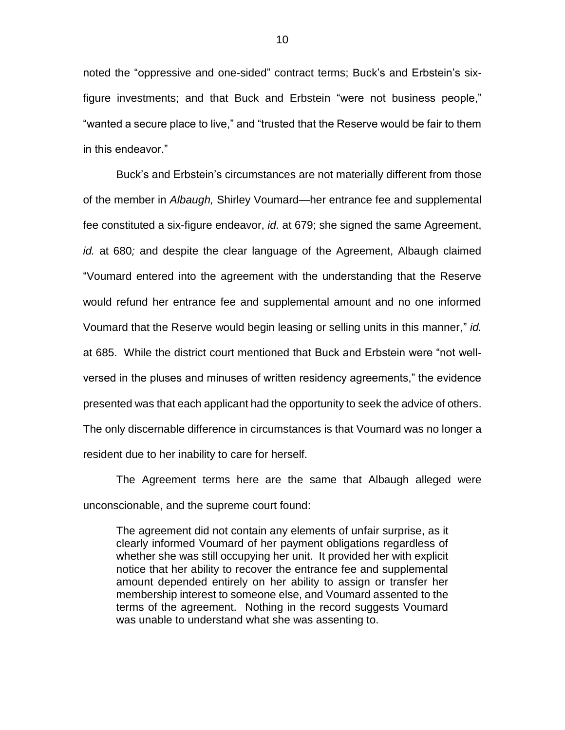noted the "oppressive and one-sided" contract terms; Buck's and Erbstein's sixfigure investments; and that Buck and Erbstein "were not business people," "wanted a secure place to live," and "trusted that the Reserve would be fair to them in this endeavor."

Buck's and Erbstein's circumstances are not materially different from those of the member in *Albaugh,* Shirley Voumard—her entrance fee and supplemental fee constituted a six-figure endeavor, *id.* at 679; she signed the same Agreement, *id.* at 680*;* and despite the clear language of the Agreement, Albaugh claimed "Voumard entered into the agreement with the understanding that the Reserve would refund her entrance fee and supplemental amount and no one informed Voumard that the Reserve would begin leasing or selling units in this manner," *id.*  at 685. While the district court mentioned that Buck and Erbstein were "not wellversed in the pluses and minuses of written residency agreements," the evidence presented was that each applicant had the opportunity to seek the advice of others. The only discernable difference in circumstances is that Voumard was no longer a resident due to her inability to care for herself.

The Agreement terms here are the same that Albaugh alleged were unconscionable, and the supreme court found:

The agreement did not contain any elements of unfair surprise, as it clearly informed Voumard of her payment obligations regardless of whether she was still occupying her unit. It provided her with explicit notice that her ability to recover the entrance fee and supplemental amount depended entirely on her ability to assign or transfer her membership interest to someone else, and Voumard assented to the terms of the agreement. Nothing in the record suggests Voumard was unable to understand what she was assenting to.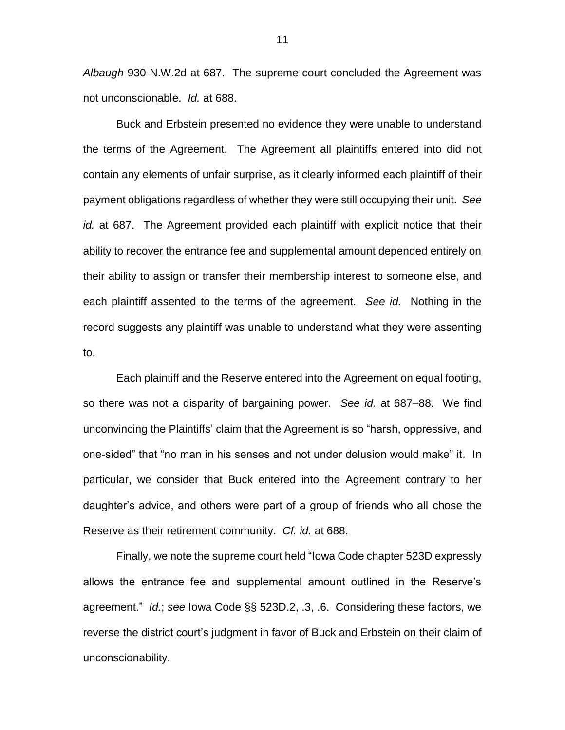*Albaugh* 930 N.W.2d at 687. The supreme court concluded the Agreement was not unconscionable. *Id.* at 688.

Buck and Erbstein presented no evidence they were unable to understand the terms of the Agreement. The Agreement all plaintiffs entered into did not contain any elements of unfair surprise, as it clearly informed each plaintiff of their payment obligations regardless of whether they were still occupying their unit. *See id.* at 687. The Agreement provided each plaintiff with explicit notice that their ability to recover the entrance fee and supplemental amount depended entirely on their ability to assign or transfer their membership interest to someone else, and each plaintiff assented to the terms of the agreement. *See id.* Nothing in the record suggests any plaintiff was unable to understand what they were assenting to.

Each plaintiff and the Reserve entered into the Agreement on equal footing, so there was not a disparity of bargaining power. *See id.* at 687–88. We find unconvincing the Plaintiffs' claim that the Agreement is so "harsh, oppressive, and one-sided" that "no man in his senses and not under delusion would make" it. In particular, we consider that Buck entered into the Agreement contrary to her daughter's advice, and others were part of a group of friends who all chose the Reserve as their retirement community. *Cf. id.* at 688.

Finally, we note the supreme court held "Iowa Code chapter 523D expressly allows the entrance fee and supplemental amount outlined in the Reserve's agreement." *Id.*; *see* Iowa Code §§ 523D.2, .3, .6. Considering these factors, we reverse the district court's judgment in favor of Buck and Erbstein on their claim of unconscionability.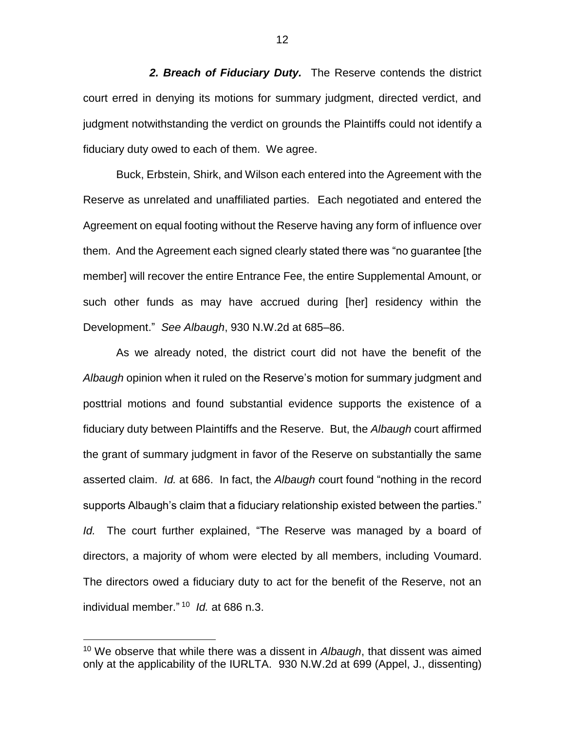*2. Breach of Fiduciary Duty.* The Reserve contends the district court erred in denying its motions for summary judgment, directed verdict, and judgment notwithstanding the verdict on grounds the Plaintiffs could not identify a fiduciary duty owed to each of them. We agree.

Buck, Erbstein, Shirk, and Wilson each entered into the Agreement with the Reserve as unrelated and unaffiliated parties. Each negotiated and entered the Agreement on equal footing without the Reserve having any form of influence over them. And the Agreement each signed clearly stated there was "no guarantee [the member] will recover the entire Entrance Fee, the entire Supplemental Amount, or such other funds as may have accrued during [her] residency within the Development." *See Albaugh*, 930 N.W.2d at 685–86.

As we already noted, the district court did not have the benefit of the *Albaugh* opinion when it ruled on the Reserve's motion for summary judgment and posttrial motions and found substantial evidence supports the existence of a fiduciary duty between Plaintiffs and the Reserve. But, the *Albaugh* court affirmed the grant of summary judgment in favor of the Reserve on substantially the same asserted claim. *Id.* at 686. In fact, the *Albaugh* court found "nothing in the record supports Albaugh's claim that a fiduciary relationship existed between the parties." *Id.* The court further explained, "The Reserve was managed by a board of directors, a majority of whom were elected by all members, including Voumard. The directors owed a fiduciary duty to act for the benefit of the Reserve, not an individual member." 10 *Id.* at 686 n.3.

 $\overline{a}$ 

12

<sup>10</sup> We observe that while there was a dissent in *Albaugh*, that dissent was aimed only at the applicability of the IURLTA. 930 N.W.2d at 699 (Appel, J., dissenting)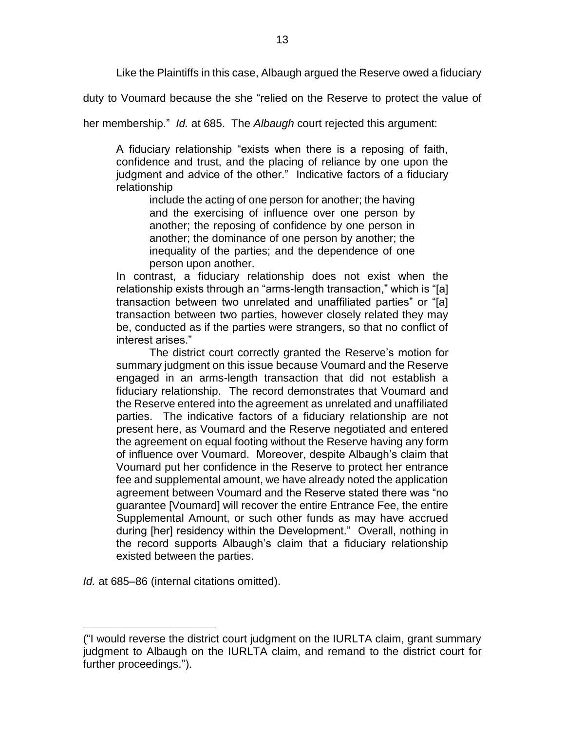Like the Plaintiffs in this case, Albaugh argued the Reserve owed a fiduciary

duty to Voumard because the she "relied on the Reserve to protect the value of

her membership." *Id.* at 685. The *Albaugh* court rejected this argument:

A fiduciary relationship "exists when there is a reposing of faith, confidence and trust, and the placing of reliance by one upon the judgment and advice of the other." Indicative factors of a fiduciary relationship

include the acting of one person for another; the having and the exercising of influence over one person by another; the reposing of confidence by one person in another; the dominance of one person by another; the inequality of the parties; and the dependence of one person upon another.

In contrast, a fiduciary relationship does not exist when the relationship exists through an "arms-length transaction," which is "[a] transaction between two unrelated and unaffiliated parties" or "[a] transaction between two parties, however closely related they may be, conducted as if the parties were strangers, so that no conflict of interest arises."

The district court correctly granted the Reserve's motion for summary judgment on this issue because Voumard and the Reserve engaged in an arms-length transaction that did not establish a fiduciary relationship. The record demonstrates that Voumard and the Reserve entered into the agreement as unrelated and unaffiliated parties. The indicative factors of a fiduciary relationship are not present here, as Voumard and the Reserve negotiated and entered the agreement on equal footing without the Reserve having any form of influence over Voumard. Moreover, despite Albaugh's claim that Voumard put her confidence in the Reserve to protect her entrance fee and supplemental amount, we have already noted the application agreement between Voumard and the Reserve stated there was "no guarantee [Voumard] will recover the entire Entrance Fee, the entire Supplemental Amount, or such other funds as may have accrued during [her] residency within the Development." Overall, nothing in the record supports Albaugh's claim that a fiduciary relationship existed between the parties.

*Id.* at 685–86 (internal citations omitted).

<sup>(&</sup>quot;I would reverse the district court judgment on the IURLTA claim, grant summary judgment to Albaugh on the IURLTA claim, and remand to the district court for further proceedings.").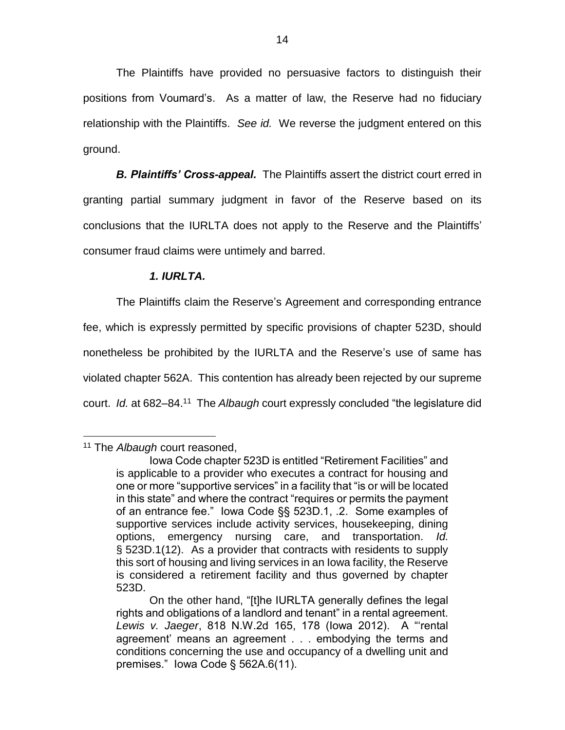The Plaintiffs have provided no persuasive factors to distinguish their positions from Voumard's. As a matter of law, the Reserve had no fiduciary relationship with the Plaintiffs. *See id.* We reverse the judgment entered on this ground.

**B. Plaintiffs' Cross-appeal.** The Plaintiffs assert the district court erred in granting partial summary judgment in favor of the Reserve based on its conclusions that the IURLTA does not apply to the Reserve and the Plaintiffs' consumer fraud claims were untimely and barred.

### *1. IURLTA.*

The Plaintiffs claim the Reserve's Agreement and corresponding entrance fee, which is expressly permitted by specific provisions of chapter 523D, should nonetheless be prohibited by the IURLTA and the Reserve's use of same has violated chapter 562A. This contention has already been rejected by our supreme court. *Id.* at 682–84.<sup>11</sup> The *Albaugh* court expressly concluded "the legislature did

<sup>11</sup> The *Albaugh* court reasoned,

Iowa Code chapter 523D is entitled "Retirement Facilities" and is applicable to a provider who executes a contract for housing and one or more "supportive services" in a facility that "is or will be located in this state" and where the contract "requires or permits the payment of an entrance fee." Iowa Code §§ 523D.1, .2. Some examples of supportive services include activity services, housekeeping, dining options, emergency nursing care, and transportation. *Id.* § 523D.1(12). As a provider that contracts with residents to supply this sort of housing and living services in an Iowa facility, the Reserve is considered a retirement facility and thus governed by chapter 523D.

On the other hand, "[t]he IURLTA generally defines the legal rights and obligations of a landlord and tenant" in a rental agreement. *Lewis v. Jaeger*, 818 N.W.2d 165, 178 (Iowa 2012). A "'rental agreement' means an agreement . . . embodying the terms and conditions concerning the use and occupancy of a dwelling unit and premises." Iowa Code § 562A.6(11).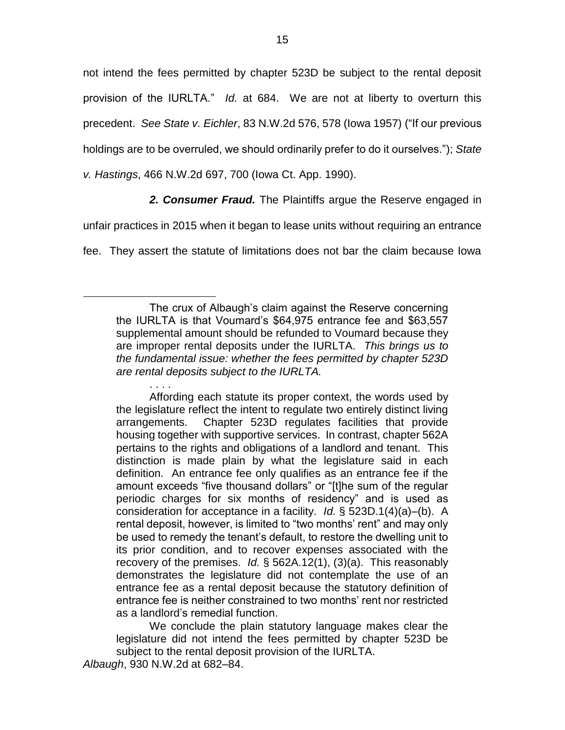not intend the fees permitted by chapter 523D be subject to the rental deposit provision of the IURLTA." *Id.* at 684. We are not at liberty to overturn this precedent. *See State v. Eichler*, 83 N.W.2d 576, 578 (Iowa 1957) ("If our previous holdings are to be overruled, we should ordinarily prefer to do it ourselves."); *State v. Hastings*, 466 N.W.2d 697, 700 (Iowa Ct. App. 1990).

*2. Consumer Fraud.* The Plaintiffs argue the Reserve engaged in

unfair practices in 2015 when it began to lease units without requiring an entrance

fee. They assert the statute of limitations does not bar the claim because Iowa

Affording each statute its proper context, the words used by the legislature reflect the intent to regulate two entirely distinct living arrangements. Chapter 523D regulates facilities that provide housing together with supportive services. In contrast, chapter 562A pertains to the rights and obligations of a landlord and tenant. This distinction is made plain by what the legislature said in each definition. An entrance fee only qualifies as an entrance fee if the amount exceeds "five thousand dollars" or "[t]he sum of the regular periodic charges for six months of residency" and is used as consideration for acceptance in a facility. *Id.* § 523D.1(4)(a)–(b). A rental deposit, however, is limited to "two months' rent" and may only be used to remedy the tenant's default, to restore the dwelling unit to its prior condition, and to recover expenses associated with the recovery of the premises. *Id.* § 562A.12(1), (3)(a). This reasonably demonstrates the legislature did not contemplate the use of an entrance fee as a rental deposit because the statutory definition of entrance fee is neither constrained to two months' rent nor restricted as a landlord's remedial function.

We conclude the plain statutory language makes clear the legislature did not intend the fees permitted by chapter 523D be subject to the rental deposit provision of the IURLTA.

. . . .

The crux of Albaugh's claim against the Reserve concerning the IURLTA is that Voumard's \$64,975 entrance fee and \$63,557 supplemental amount should be refunded to Voumard because they are improper rental deposits under the IURLTA. *This brings us to the fundamental issue: whether the fees permitted by chapter 523D are rental deposits subject to the IURLTA.*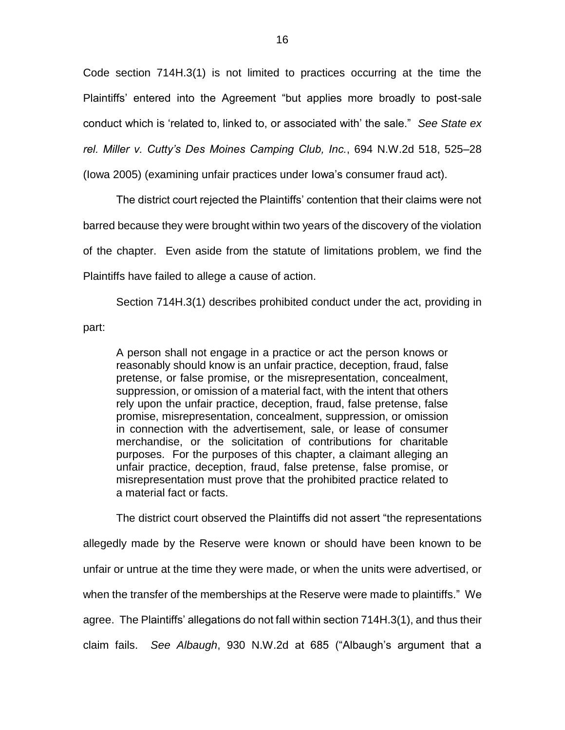Code section 714H.3(1) is not limited to practices occurring at the time the Plaintiffs' entered into the Agreement "but applies more broadly to post-sale conduct which is 'related to, linked to, or associated with' the sale." *See State ex rel. Miller v. Cutty's Des Moines Camping Club, Inc.*, 694 N.W.2d 518, 525–28

(Iowa 2005) (examining unfair practices under Iowa's consumer fraud act).

The district court rejected the Plaintiffs' contention that their claims were not barred because they were brought within two years of the discovery of the violation of the chapter. Even aside from the statute of limitations problem, we find the Plaintiffs have failed to allege a cause of action.

Section 714H.3(1) describes prohibited conduct under the act, providing in part:

A person shall not engage in a practice or act the person knows or reasonably should know is an unfair practice, deception, fraud, false pretense, or false promise, or the misrepresentation, concealment, suppression, or omission of a material fact, with the intent that others rely upon the unfair practice, deception, fraud, false pretense, false promise, misrepresentation, concealment, suppression, or omission in connection with the advertisement, sale, or lease of consumer merchandise, or the solicitation of contributions for charitable purposes. For the purposes of this chapter, a claimant alleging an unfair practice, deception, fraud, false pretense, false promise, or misrepresentation must prove that the prohibited practice related to a material fact or facts.

The district court observed the Plaintiffs did not assert "the representations

allegedly made by the Reserve were known or should have been known to be unfair or untrue at the time they were made, or when the units were advertised, or when the transfer of the memberships at the Reserve were made to plaintiffs." We agree. The Plaintiffs' allegations do not fall within section 714H.3(1), and thus their claim fails. *See Albaugh*, 930 N.W.2d at 685 ("Albaugh's argument that a